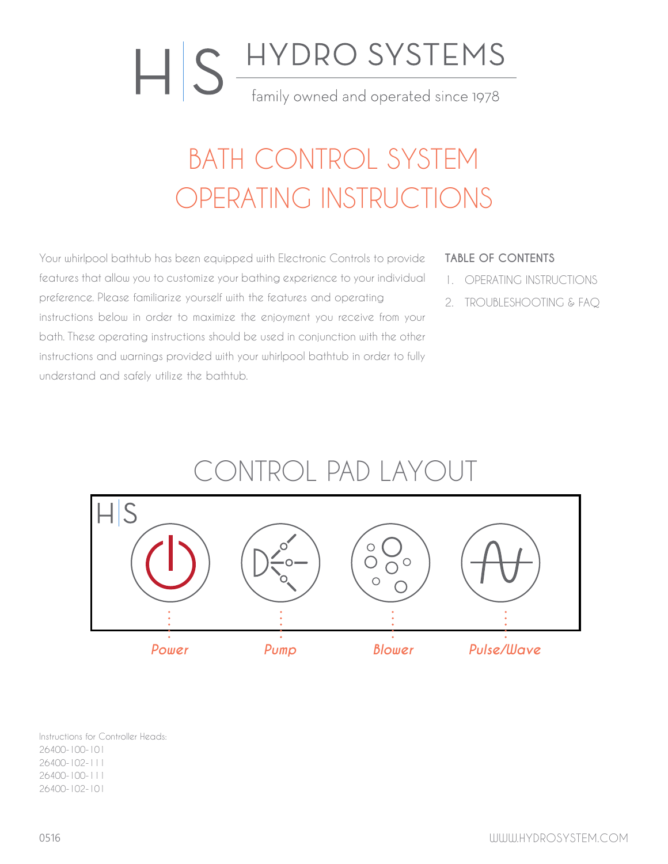# HIS HYDRO SYSTEMS family owned and operated since 1978

### BATH CONTROL SYSTEM OPERATING INSTRUCTIONS

Your whirlpool bathtub has been equipped with Electronic Controls to provide features that allow you to customize your bathing experience to your individual preference. Please familiarize yourself with the features and operating instructions below in order to maximize the enjoyment you receive from your bath. These operating instructions should be used in conjunction with the other instructions and warnings provided with your whirlpool bathtub in order to fully understand and safely utilize the bathtub.

#### **TABLE OF CONTENTS**

- 1. OPERATING INSTRUCTIONS
- 2. TROUBLESHOOTING & FAQ



Instructions for Controller Heads: 26400-100-101 26400-102-111 26400-100-111 26400-102-101